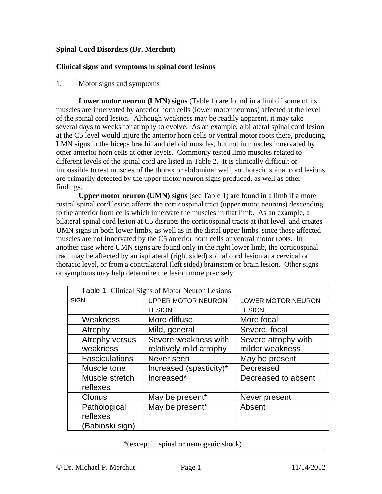# **Spinal Cord Disorders (Dr. Merchut)**

# **Clinical signs and symptoms in spinal cord lesions**

1. Motor signs and symptoms

**Lower motor neuron (LMN) signs** (Table 1) are found in a limb if some of its muscles are innervated by anterior horn cells (lower motor neurons) affected at the level of the spinal cord lesion. Although weakness may be readily apparent, it may take several days to weeks for atrophy to evolve. As an example, a bilateral spinal cord lesion at the C5 level would injure the anterior horn cells or ventral motor roots there, producing LMN signs in the biceps brachii and deltoid muscles, but not in muscles innervated by other anterior horn cells at other levels. Commonly tested limb muscles related to different levels of the spinal cord are listed in Table 2. It is clinically difficult or impossible to test muscles of the thorax or abdominal wall, so thoracic spinal cord lesions are primarily detected by the upper motor neuron signs produced, as well as other findings.

**Upper motor neuron (UMN) signs** (see Table 1) are found in a limb if a more rostral spinal cord lesion affects the corticospinal tract (upper motor neurons) descending to the anterior horn cells which innervate the muscles in that limb. As an example, a bilateral spinal cord lesion at C5 disrupts the corticospinal tracts at that level, and creates UMN signs in both lower limbs, as well as in the distal upper limbs, since those affected muscles are not innervated by the C5 anterior horn cells or ventral motor roots. In another case where UMN signs are found only in the right lower limb, the corticospinal tract may be affected by an ispilateral (right sided) spinal cord lesion at a cervical or thoracic level, or from a contralateral (left sided) brainstem or brain lesion. Other signs or symptoms may help determine the lesion more precisely.

| <b>Table 1</b> Clinical Signs of Motor Neuron Lesions |                           |                     |  |  |
|-------------------------------------------------------|---------------------------|---------------------|--|--|
| <b>SIGN</b>                                           | <b>UPPER MOTOR NEURON</b> | LOWER MOTOR NEURON  |  |  |
|                                                       | <b>LESION</b>             | <b>LESION</b>       |  |  |
| Weakness                                              | More diffuse              | More focal          |  |  |
| Atrophy                                               | Mild, general             | Severe, focal       |  |  |
| Atrophy versus                                        | Severe weakness with      | Severe atrophy with |  |  |
| weakness                                              | relatively mild atrophy   | milder weakness     |  |  |
| <b>Fasciculations</b>                                 | Never seen                | May be present      |  |  |
| Muscle tone                                           | Increased (spasticity)*   | Decreased           |  |  |
| Muscle stretch                                        | Increased*                | Decreased to absent |  |  |
| reflexes                                              |                           |                     |  |  |
| Clonus                                                | May be present*           | Never present       |  |  |
| Pathological                                          | May be present*           | Absent              |  |  |
| reflexes                                              |                           |                     |  |  |
| (Babinski sign)                                       |                           |                     |  |  |

\*(except in spinal or neurogenic shock)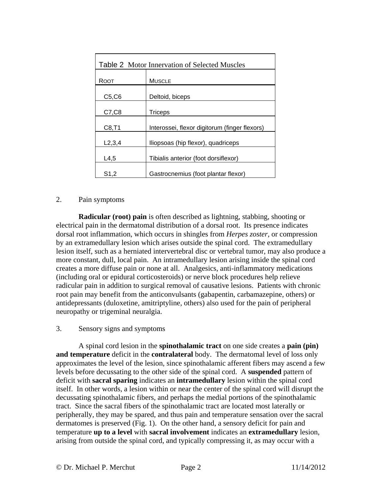| <b>Table 2</b> Motor Innervation of Selected Muscles |                                               |  |  |
|------------------------------------------------------|-----------------------------------------------|--|--|
| ROOT                                                 | <b>MUSCLE</b>                                 |  |  |
| C5, C6                                               | Deltoid, biceps                               |  |  |
| C7, C8                                               | <b>Triceps</b>                                |  |  |
| C8, T1                                               | Interossei, flexor digitorum (finger flexors) |  |  |
| L2, 3, 4                                             | Iliopsoas (hip flexor), quadriceps            |  |  |
| L4,5                                                 | Tibialis anterior (foot dorsiflexor)          |  |  |
| S1,2                                                 | Gastrocnemius (foot plantar flexor)           |  |  |

# 2. Pain symptoms

**Radicular (root) pain** is often described as lightning, stabbing, shooting or electrical pain in the dermatomal distribution of a dorsal root. Its presence indicates dorsal root inflammation, which occurs in shingles from *Herpes zoster*, or compression by an extramedullary lesion which arises outside the spinal cord. The extramedullary lesion itself, such as a herniated intervertebral disc or vertebral tumor, may also produce a more constant, dull, local pain. An intramedullary lesion arising inside the spinal cord creates a more diffuse pain or none at all. Analgesics, anti-inflammatory medications (including oral or epidural corticosteroids) or nerve block procedures help relieve radicular pain in addition to surgical removal of causative lesions. Patients with chronic root pain may benefit from the anticonvulsants (gabapentin, carbamazepine, others) or antidepressants (duloxetine, amitriptyline, others) also used for the pain of peripheral neuropathy or trigeminal neuralgia.

## 3. Sensory signs and symptoms

 A spinal cord lesion in the **spinothalamic tract** on one side creates a **pain (pin) and temperature** deficit in the **contralateral** body. The dermatomal level of loss only approximates the level of the lesion, since spinothalamic afferent fibers may ascend a few levels before decussating to the other side of the spinal cord. A **suspended** pattern of deficit with **sacral sparing** indicates an **intramedullary** lesion within the spinal cord itself. In other words, a lesion within or near the center of the spinal cord will disrupt the decussating spinothalamic fibers, and perhaps the medial portions of the spinothalamic tract. Since the sacral fibers of the spinothalamic tract are located most laterally or peripherally, they may be spared, and thus pain and temperature sensation over the sacral dermatomes is preserved (Fig. 1). On the other hand, a sensory deficit for pain and temperature **up to a level** with **sacral involvement** indicates an **extramedullary** lesion, arising from outside the spinal cord, and typically compressing it, as may occur with a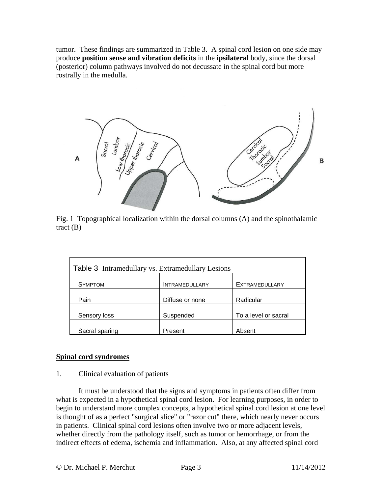tumor. These findings are summarized in Table 3. A spinal cord lesion on one side may produce **position sense and vibration deficits** in the **ipsilateral** body, since the dorsal (posterior) column pathways involved do not decussate in the spinal cord but more rostrally in the medulla.



Fig. 1 Topographical localization within the dorsal columns (A) and the spinothalamic tract (B)

| Table 3 Intramedullary vs. Extramedullary Lesions |                       |                       |  |  |
|---------------------------------------------------|-----------------------|-----------------------|--|--|
| <b>SYMPTOM</b>                                    | <b>INTRAMEDULLARY</b> | <b>EXTRAMEDULLARY</b> |  |  |
| Pain                                              | Diffuse or none       | Radicular             |  |  |
| Sensory loss                                      | Suspended             | To a level or sacral  |  |  |
| Sacral sparing                                    | Present               | Absent                |  |  |

## **Spinal cord syndromes**

## 1. Clinical evaluation of patients

 It must be understood that the signs and symptoms in patients often differ from what is expected in a hypothetical spinal cord lesion. For learning purposes, in order to begin to understand more complex concepts, a hypothetical spinal cord lesion at one level is thought of as a perfect "surgical slice" or "razor cut" there, which nearly never occurs in patients. Clinical spinal cord lesions often involve two or more adjacent levels, whether directly from the pathology itself, such as tumor or hemorrhage, or from the indirect effects of edema, ischemia and inflammation. Also, at any affected spinal cord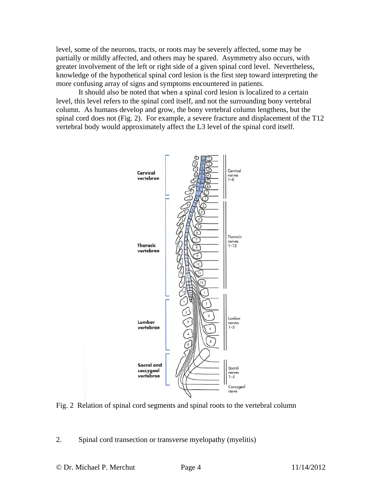level, some of the neurons, tracts, or roots may be severely affected, some may be partially or mildly affected, and others may be spared. Asymmetry also occurs, with greater involvement of the left or right side of a given spinal cord level. Nevertheless, knowledge of the hypothetical spinal cord lesion is the first step toward interpreting the more confusing array of signs and symptoms encountered in patients.

 It should also be noted that when a spinal cord lesion is localized to a certain level, this level refers to the spinal cord itself, and not the surrounding bony vertebral column. As humans develop and grow, the bony vertebral column lengthens, but the spinal cord does not (Fig. 2). For example, a severe fracture and displacement of the T12 vertebral body would approximately affect the L3 level of the spinal cord itself.



Fig. 2 Relation of spinal cord segments and spinal roots to the vertebral column

2. Spinal cord transection or transverse myelopathy (myelitis)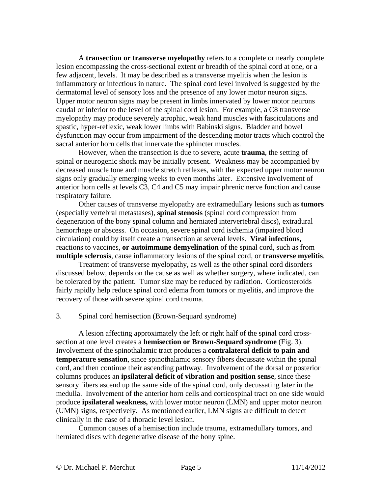A **transection or transverse myelopathy** refers to a complete or nearly complete lesion encompassing the cross-sectional extent or breadth of the spinal cord at one, or a few adjacent, levels. It may be described as a transverse myelitis when the lesion is inflammatory or infectious in nature. The spinal cord level involved is suggested by the dermatomal level of sensory loss and the presence of any lower motor neuron signs. Upper motor neuron signs may be present in limbs innervated by lower motor neurons caudal or inferior to the level of the spinal cord lesion. For example, a C8 transverse myelopathy may produce severely atrophic, weak hand muscles with fasciculations and spastic, hyper-reflexic, weak lower limbs with Babinski signs. Bladder and bowel dysfunction may occur from impairment of the descending motor tracts which control the sacral anterior horn cells that innervate the sphincter muscles.

 However, when the transection is due to severe, acute **trauma**, the setting of spinal or neurogenic shock may be initially present. Weakness may be accompanied by decreased muscle tone and muscle stretch reflexes, with the expected upper motor neuron signs only gradually emerging weeks to even months later. Extensive involvement of anterior horn cells at levels C3, C4 and C5 may impair phrenic nerve function and cause respiratory failure.

 Other causes of transverse myelopathy are extramedullary lesions such as **tumors**  (especially vertebral metastases), **spinal stenosis** (spinal cord compression from degeneration of the bony spinal column and herniated intervertebral discs), extradural hemorrhage or abscess. On occasion, severe spinal cord ischemia (impaired blood circulation) could by itself create a transection at several levels. **Viral infections,**  reactions to vaccines, **or autoimmune demyelination** of the spinal cord, such as from **multiple sclerosis**, cause inflammatory lesions of the spinal cord, or **transverse myelitis**.

 Treatment of transverse myelopathy, as well as the other spinal cord disorders discussed below, depends on the cause as well as whether surgery, where indicated, can be tolerated by the patient. Tumor size may be reduced by radiation. Corticosteroids fairly rapidly help reduce spinal cord edema from tumors or myelitis, and improve the recovery of those with severe spinal cord trauma.

#### 3. Spinal cord hemisection (Brown-Sequard syndrome)

 A lesion affecting approximately the left or right half of the spinal cord crosssection at one level creates a **hemisection or Brown-Sequard syndrome** (Fig. 3). Involvement of the spinothalamic tract produces a **contralateral deficit to pain and temperature sensation**, since spinothalamic sensory fibers decussate within the spinal cord, and then continue their ascending pathway. Involvement of the dorsal or posterior columns produces an **ipsilateral deficit of vibration and position sense**, since these sensory fibers ascend up the same side of the spinal cord, only decussating later in the medulla. Involvement of the anterior horn cells and corticospinal tract on one side would produce **ipsilateral weakness,** with lower motor neuron (LMN) and upper motor neuron (UMN) signs, respectively. As mentioned earlier, LMN signs are difficult to detect clinically in the case of a thoracic level lesion.

 Common causes of a hemisection include trauma, extramedullary tumors, and herniated discs with degenerative disease of the bony spine.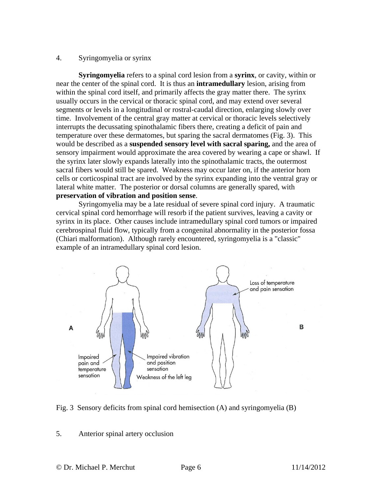### 4. Syringomyelia or syrinx

**Syringomyelia** refers to a spinal cord lesion from a **syrinx**, or cavity, within or near the center of the spinal cord. It is thus an **intramedullary** lesion, arising from within the spinal cord itself, and primarily affects the gray matter there. The syrinx usually occurs in the cervical or thoracic spinal cord, and may extend over several segments or levels in a longitudinal or rostral-caudal direction, enlarging slowly over time. Involvement of the central gray matter at cervical or thoracic levels selectively interrupts the decussating spinothalamic fibers there, creating a deficit of pain and temperature over these dermatomes, but sparing the sacral dermatomes (Fig. 3). This would be described as a **suspended sensory level with sacral sparing,** and the area of sensory impairment would approximate the area covered by wearing a cape or shawl. If the syrinx later slowly expands laterally into the spinothalamic tracts, the outermost sacral fibers would still be spared. Weakness may occur later on, if the anterior horn cells or corticospinal tract are involved by the syrinx expanding into the ventral gray or lateral white matter. The posterior or dorsal columns are generally spared, with **preservation of vibration and position sense**.

 Syringomyelia may be a late residual of severe spinal cord injury. A traumatic cervical spinal cord hemorrhage will resorb if the patient survives, leaving a cavity or syrinx in its place. Other causes include intramedullary spinal cord tumors or impaired cerebrospinal fluid flow, typically from a congenital abnormality in the posterior fossa (Chiari malformation). Although rarely encountered, syringomyelia is a "classic" example of an intramedullary spinal cord lesion.



Fig. 3 Sensory deficits from spinal cord hemisection (A) and syringomyelia (B)

#### 5. Anterior spinal artery occlusion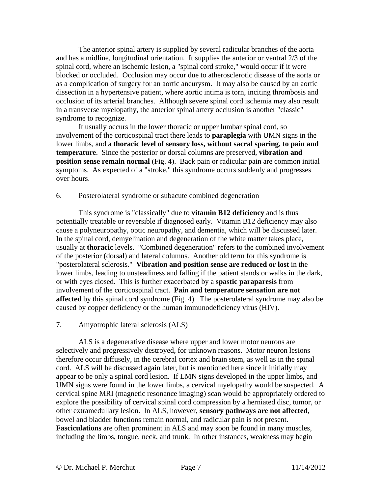The anterior spinal artery is supplied by several radicular branches of the aorta and has a midline, longitudinal orientation. It supplies the anterior or ventral 2/3 of the spinal cord, where an ischemic lesion, a "spinal cord stroke," would occur if it were blocked or occluded. Occlusion may occur due to atherosclerotic disease of the aorta or as a complication of surgery for an aortic aneurysm. It may also be caused by an aortic dissection in a hypertensive patient, where aortic intima is torn, inciting thrombosis and occlusion of its arterial branches. Although severe spinal cord ischemia may also result in a transverse myelopathy, the anterior spinal artery occlusion is another "classic" syndrome to recognize.

 It usually occurs in the lower thoracic or upper lumbar spinal cord, so involvement of the corticospinal tract there leads to **paraplegia** with UMN signs in the lower limbs, and a **thoracic level of sensory loss, without sacral sparing, to pain and temperature**. Since the posterior or dorsal columns are preserved, **vibration and position sense remain normal** (Fig. 4). Back pain or radicular pain are common initial symptoms. As expected of a "stroke," this syndrome occurs suddenly and progresses over hours.

### 6. Posterolateral syndrome or subacute combined degeneration

 This syndrome is "classically" due to **vitamin B12 deficiency** and is thus potentially treatable or reversible if diagnosed early. Vitamin B12 deficiency may also cause a polyneuropathy, optic neuropathy, and dementia, which will be discussed later. In the spinal cord, demyelination and degeneration of the white matter takes place, usually at **thoracic** levels. "Combined degeneration" refers to the combined involvement of the posterior (dorsal) and lateral columns. Another old term for this syndrome is "posterolateral sclerosis." **Vibration and position sense are reduced or lost** in the lower limbs, leading to unsteadiness and falling if the patient stands or walks in the dark, or with eyes closed. This is further exacerbated by a **spastic paraparesis** from involvement of the corticospinal tract. **Pain and temperature sensation are not affected** by this spinal cord syndrome (Fig. 4). The posterolateral syndrome may also be caused by copper deficiency or the human immunodeficiency virus (HIV).

#### 7. Amyotrophic lateral sclerosis (ALS)

 ALS is a degenerative disease where upper and lower motor neurons are selectively and progressively destroyed, for unknown reasons. Motor neuron lesions therefore occur diffusely, in the cerebral cortex and brain stem, as well as in the spinal cord. ALS will be discussed again later, but is mentioned here since it initially may appear to be only a spinal cord lesion. If LMN signs developed in the upper limbs, and UMN signs were found in the lower limbs, a cervical myelopathy would be suspected. A cervical spine MRI (magnetic resonance imaging) scan would be appropriately ordered to explore the possibility of cervical spinal cord compression by a herniated disc, tumor, or other extramedullary lesion. In ALS, however, **sensory pathways are not affected**, bowel and bladder functions remain normal, and radicular pain is not present. **Fasciculations** are often prominent in ALS and may soon be found in many muscles, including the limbs, tongue, neck, and trunk. In other instances, weakness may begin